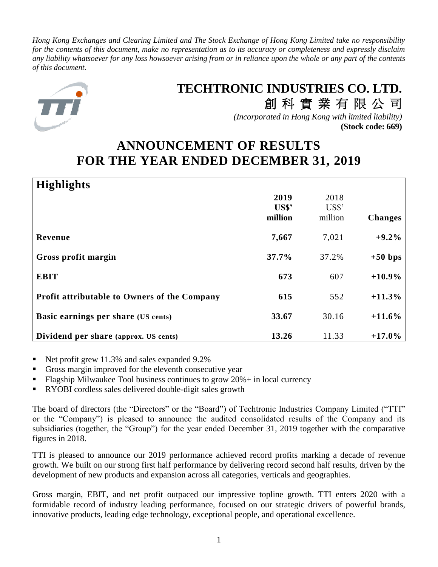*Hong Kong Exchanges and Clearing Limited and The Stock Exchange of Hong Kong Limited take no responsibility for the contents of this document, make no representation as to its accuracy or completeness and expressly disclaim any liability whatsoever for any loss howsoever arising from or in reliance upon the whole or any part of the contents of this document.*



# **TECHTRONIC INDUSTRIES CO. LTD.**

創 科 實 業 有 限 公 司 *(Incorporated in Hong Kong with limited liability)* **(Stock code: 669)**

# **ANNOUNCEMENT OF RESULTS FOR THE YEAR ENDED DECEMBER 31, 2019**

| <b>Highlights</b>                            |         |         |                |
|----------------------------------------------|---------|---------|----------------|
|                                              | 2019    | 2018    |                |
|                                              | US\$'   | US\$'   |                |
|                                              | million | million | <b>Changes</b> |
| Revenue                                      | 7,667   | 7,021   | $+9.2%$        |
| Gross profit margin                          | 37.7%   | 37.2%   | $+50$ bps      |
| <b>EBIT</b>                                  | 673     | 607     | $+10.9\%$      |
| Profit attributable to Owners of the Company | 615     | 552     | $+11.3%$       |
| <b>Basic earnings per share (US cents)</b>   | 33.67   | 30.16   | $+11.6%$       |
| Dividend per share (approx. US cents)        | 13.26   | 11.33   | $+17.0%$       |

- Net profit grew 11.3% and sales expanded 9.2%
- Gross margin improved for the eleventh consecutive year
- $F$ lagship Milwaukee Tool business continues to grow  $20\%$  + in local currency
- RYOBI cordless sales delivered double-digit sales growth

The board of directors (the "Directors" or the "Board") of Techtronic Industries Company Limited ("TTI" or the "Company") is pleased to announce the audited consolidated results of the Company and its subsidiaries (together, the "Group") for the year ended December 31, 2019 together with the comparative figures in 2018.

TTI is pleased to announce our 2019 performance achieved record profits marking a decade of revenue growth. We built on our strong first half performance by delivering record second half results, driven by the development of new products and expansion across all categories, verticals and geographies.

Gross margin, EBIT, and net profit outpaced our impressive topline growth. TTI enters 2020 with a formidable record of industry leading performance, focused on our strategic drivers of powerful brands, innovative products, leading edge technology, exceptional people, and operational excellence.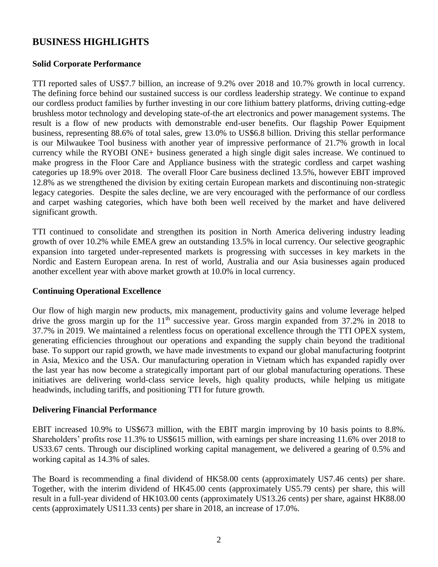## **BUSINESS HIGHLIGHTS**

### **Solid Corporate Performance**

TTI reported sales of US\$7.7 billion, an increase of 9.2% over 2018 and 10.7% growth in local currency. The defining force behind our sustained success is our cordless leadership strategy. We continue to expand our cordless product families by further investing in our core lithium battery platforms, driving cutting-edge brushless motor technology and developing state-of-the art electronics and power management systems. The result is a flow of new products with demonstrable end-user benefits. Our flagship Power Equipment business, representing 88.6% of total sales, grew 13.0% to US\$6.8 billion. Driving this stellar performance is our Milwaukee Tool business with another year of impressive performance of 21.7% growth in local currency while the RYOBI ONE+ business generated a high single digit sales increase. We continued to make progress in the Floor Care and Appliance business with the strategic cordless and carpet washing categories up 18.9% over 2018. The overall Floor Care business declined 13.5%, however EBIT improved 12.8% as we strengthened the division by exiting certain European markets and discontinuing non-strategic legacy categories. Despite the sales decline, we are very encouraged with the performance of our cordless and carpet washing categories, which have both been well received by the market and have delivered significant growth.

TTI continued to consolidate and strengthen its position in North America delivering industry leading growth of over 10.2% while EMEA grew an outstanding 13.5% in local currency. Our selective geographic expansion into targeted under-represented markets is progressing with successes in key markets in the Nordic and Eastern European arena. In rest of world, Australia and our Asia businesses again produced another excellent year with above market growth at 10.0% in local currency.

### **Continuing Operational Excellence**

Our flow of high margin new products, mix management, productivity gains and volume leverage helped drive the gross margin up for the  $11<sup>th</sup>$  successive year. Gross margin expanded from 37.2% in 2018 to 37.7% in 2019. We maintained a relentless focus on operational excellence through the TTI OPEX system, generating efficiencies throughout our operations and expanding the supply chain beyond the traditional base. To support our rapid growth, we have made investments to expand our global manufacturing footprint in Asia, Mexico and the USA. Our manufacturing operation in Vietnam which has expanded rapidly over the last year has now become a strategically important part of our global manufacturing operations. These initiatives are delivering world-class service levels, high quality products, while helping us mitigate headwinds, including tariffs, and positioning TTI for future growth.

### **Delivering Financial Performance**

EBIT increased 10.9% to US\$673 million, with the EBIT margin improving by 10 basis points to 8.8%. Shareholders' profits rose 11.3% to US\$615 million, with earnings per share increasing 11.6% over 2018 to US33.67 cents. Through our disciplined working capital management, we delivered a gearing of 0.5% and working capital as 14.3% of sales.

The Board is recommending a final dividend of HK58.00 cents (approximately US7.46 cents) per share. Together, with the interim dividend of HK45.00 cents (approximately US5.79 cents) per share, this will result in a full-year dividend of HK103.00 cents (approximately US13.26 cents) per share, against HK88.00 cents (approximately US11.33 cents) per share in 2018, an increase of 17.0%.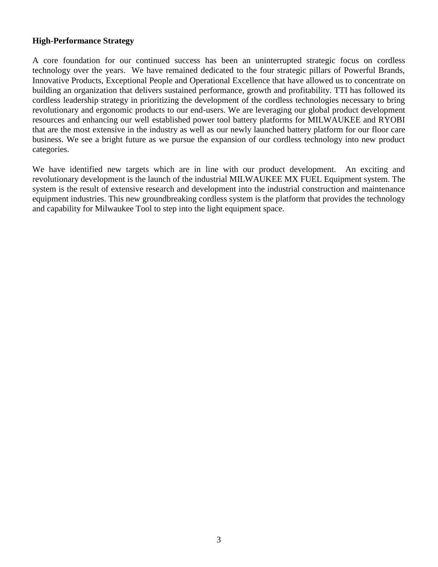### **High-Performance Strategy**

A core foundation for our continued success has been an uninterrupted strategic focus on cordless technology over the years. We have remained dedicated to the four strategic pillars of Powerful Brands, Innovative Products, Exceptional People and Operational Excellence that have allowed us to concentrate on building an organization that delivers sustained performance, growth and profitability. TTI has followed its cordless leadership strategy in prioritizing the development of the cordless technologies necessary to bring revolutionary and ergonomic products to our end-users. We are leveraging our global product development resources and enhancing our well established power tool battery platforms for MILWAUKEE and RYOBI that are the most extensive in the industry as well as our newly launched battery platform for our floor care business. We see a bright future as we pursue the expansion of our cordless technology into new product categories.

We have identified new targets which are in line with our product development. An exciting and revolutionary development is the launch of the industrial MILWAUKEE MX FUEL Equipment system. The system is the result of extensive research and development into the industrial construction and maintenance equipment industries. This new groundbreaking cordless system is the platform that provides the technology and capability for Milwaukee Tool to step into the light equipment space.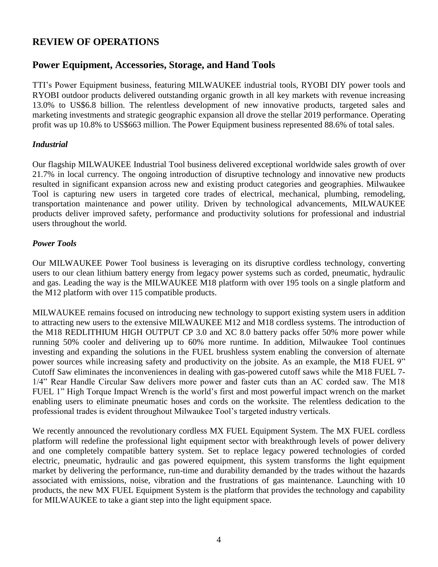# **REVIEW OF OPERATIONS**

### **Power Equipment, Accessories, Storage, and Hand Tools**

TTI's Power Equipment business, featuring MILWAUKEE industrial tools, RYOBI DIY power tools and RYOBI outdoor products delivered outstanding organic growth in all key markets with revenue increasing 13.0% to US\$6.8 billion. The relentless development of new innovative products, targeted sales and marketing investments and strategic geographic expansion all drove the stellar 2019 performance. Operating profit was up 10.8% to US\$663 million. The Power Equipment business represented 88.6% of total sales.

### *Industrial*

Our flagship MILWAUKEE Industrial Tool business delivered exceptional worldwide sales growth of over 21.7% in local currency. The ongoing introduction of disruptive technology and innovative new products resulted in significant expansion across new and existing product categories and geographies. Milwaukee Tool is capturing new users in targeted core trades of electrical, mechanical, plumbing, remodeling, transportation maintenance and power utility. Driven by technological advancements, MILWAUKEE products deliver improved safety, performance and productivity solutions for professional and industrial users throughout the world.

### *Power Tools*

Our MILWAUKEE Power Tool business is leveraging on its disruptive cordless technology, converting users to our clean lithium battery energy from legacy power systems such as corded, pneumatic, hydraulic and gas. Leading the way is the MILWAUKEE M18 platform with over 195 tools on a single platform and the M12 platform with over 115 compatible products.

MILWAUKEE remains focused on introducing new technology to support existing system users in addition to attracting new users to the extensive MILWAUKEE M12 and M18 cordless systems. The introduction of the M18 REDLITHIUM HIGH OUTPUT CP 3.0 and XC 8.0 battery packs offer 50% more power while running 50% cooler and delivering up to 60% more runtime. In addition, Milwaukee Tool continues investing and expanding the solutions in the FUEL brushless system enabling the conversion of alternate power sources while increasing safety and productivity on the jobsite. As an example, the M18 FUEL 9" Cutoff Saw eliminates the inconveniences in dealing with gas-powered cutoff saws while the M18 FUEL 7- 1/4" Rear Handle Circular Saw delivers more power and faster cuts than an AC corded saw. The M18 FUEL 1" High Torque Impact Wrench is the world's first and most powerful impact wrench on the market enabling users to eliminate pneumatic hoses and cords on the worksite. The relentless dedication to the professional trades is evident throughout Milwaukee Tool's targeted industry verticals.

We recently announced the revolutionary cordless MX FUEL Equipment System. The MX FUEL cordless platform will redefine the professional light equipment sector with breakthrough levels of power delivery and one completely compatible battery system. Set to replace legacy powered technologies of corded electric, pneumatic, hydraulic and gas powered equipment, this system transforms the light equipment market by delivering the performance, run-time and durability demanded by the trades without the hazards associated with emissions, noise, vibration and the frustrations of gas maintenance. Launching with 10 products, the new MX FUEL Equipment System is the platform that provides the technology and capability for MILWAUKEE to take a giant step into the light equipment space.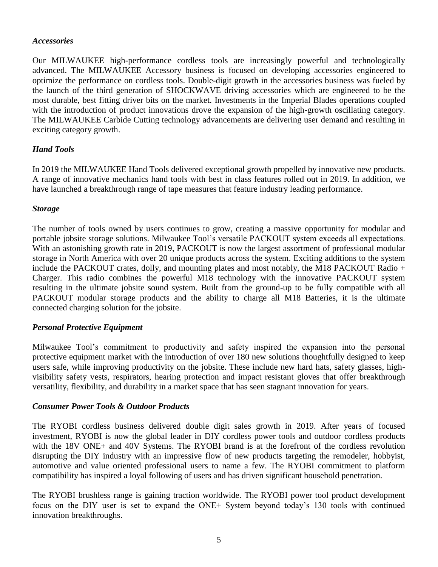#### *Accessories*

Our MILWAUKEE high-performance cordless tools are increasingly powerful and technologically advanced. The MILWAUKEE Accessory business is focused on developing accessories engineered to optimize the performance on cordless tools. Double-digit growth in the accessories business was fueled by the launch of the third generation of SHOCKWAVE driving accessories which are engineered to be the most durable, best fitting driver bits on the market. Investments in the Imperial Blades operations coupled with the introduction of product innovations drove the expansion of the high-growth oscillating category. The MILWAUKEE Carbide Cutting technology advancements are delivering user demand and resulting in exciting category growth.

### *Hand Tools*

In 2019 the MILWAUKEE Hand Tools delivered exceptional growth propelled by innovative new products. A range of innovative mechanics hand tools with best in class features rolled out in 2019. In addition, we have launched a breakthrough range of tape measures that feature industry leading performance.

### *Storage*

The number of tools owned by users continues to grow, creating a massive opportunity for modular and portable jobsite storage solutions. Milwaukee Tool's versatile PACKOUT system exceeds all expectations. With an astonishing growth rate in 2019, PACKOUT is now the largest assortment of professional modular storage in North America with over 20 unique products across the system. Exciting additions to the system include the PACKOUT crates, dolly, and mounting plates and most notably, the M18 PACKOUT Radio + Charger. This radio combines the powerful M18 technology with the innovative PACKOUT system resulting in the ultimate jobsite sound system. Built from the ground-up to be fully compatible with all PACKOUT modular storage products and the ability to charge all M18 Batteries, it is the ultimate connected charging solution for the jobsite.

### *Personal Protective Equipment*

Milwaukee Tool's commitment to productivity and safety inspired the expansion into the personal protective equipment market with the introduction of over 180 new solutions thoughtfully designed to keep users safe, while improving productivity on the jobsite. These include new hard hats, safety glasses, highvisibility safety vests, respirators, hearing protection and impact resistant gloves that offer breakthrough versatility, flexibility, and durability in a market space that has seen stagnant innovation for years.

#### *Consumer Power Tools & Outdoor Products*

The RYOBI cordless business delivered double digit sales growth in 2019. After years of focused investment, RYOBI is now the global leader in DIY cordless power tools and outdoor cordless products with the 18V ONE+ and 40V Systems. The RYOBI brand is at the forefront of the cordless revolution disrupting the DIY industry with an impressive flow of new products targeting the remodeler, hobbyist, automotive and value oriented professional users to name a few. The RYOBI commitment to platform compatibility has inspired a loyal following of users and has driven significant household penetration.

The RYOBI brushless range is gaining traction worldwide. The RYOBI power tool product development focus on the DIY user is set to expand the ONE+ System beyond today's 130 tools with continued innovation breakthroughs.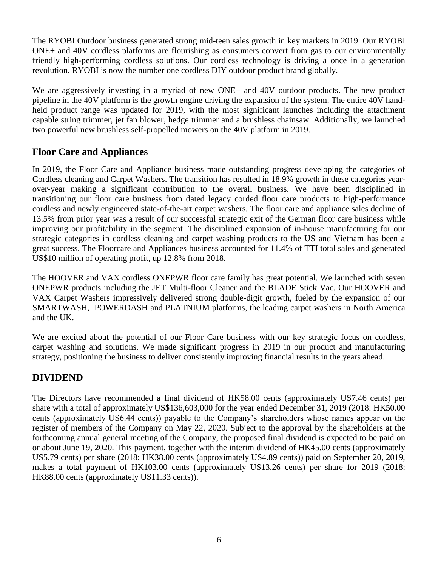The RYOBI Outdoor business generated strong mid-teen sales growth in key markets in 2019. Our RYOBI ONE+ and 40V cordless platforms are flourishing as consumers convert from gas to our environmentally friendly high-performing cordless solutions. Our cordless technology is driving a once in a generation revolution. RYOBI is now the number one cordless DIY outdoor product brand globally.

We are aggressively investing in a myriad of new ONE+ and 40V outdoor products. The new product pipeline in the 40V platform is the growth engine driving the expansion of the system. The entire 40V handheld product range was updated for 2019, with the most significant launches including the attachment capable string trimmer, jet fan blower, hedge trimmer and a brushless chainsaw. Additionally, we launched two powerful new brushless self-propelled mowers on the 40V platform in 2019.

# **Floor Care and Appliances**

In 2019, the Floor Care and Appliance business made outstanding progress developing the categories of Cordless cleaning and Carpet Washers. The transition has resulted in 18.9% growth in these categories yearover-year making a significant contribution to the overall business. We have been disciplined in transitioning our floor care business from dated legacy corded floor care products to high-performance cordless and newly engineered state-of-the-art carpet washers. The floor care and appliance sales decline of 13.5% from prior year was a result of our successful strategic exit of the German floor care business while improving our profitability in the segment. The disciplined expansion of in-house manufacturing for our strategic categories in cordless cleaning and carpet washing products to the US and Vietnam has been a great success. The Floorcare and Appliances business accounted for 11.4% of TTI total sales and generated US\$10 million of operating profit, up 12.8% from 2018.

The HOOVER and VAX cordless ONEPWR floor care family has great potential. We launched with seven ONEPWR products including the JET Multi-floor Cleaner and the BLADE Stick Vac. Our HOOVER and VAX Carpet Washers impressively delivered strong double-digit growth, fueled by the expansion of our SMARTWASH, POWERDASH and PLATNIUM platforms, the leading carpet washers in North America and the UK.

We are excited about the potential of our Floor Care business with our key strategic focus on cordless, carpet washing and solutions. We made significant progress in 2019 in our product and manufacturing strategy, positioning the business to deliver consistently improving financial results in the years ahead.

# **DIVIDEND**

The Directors have recommended a final dividend of HK58.00 cents (approximately US7.46 cents) per share with a total of approximately US\$136,603,000 for the year ended December 31, 2019 (2018: HK50.00 cents (approximately US6.44 cents)) payable to the Company's shareholders whose names appear on the register of members of the Company on May 22, 2020. Subject to the approval by the shareholders at the forthcoming annual general meeting of the Company, the proposed final dividend is expected to be paid on or about June 19, 2020. This payment, together with the interim dividend of HK45.00 cents (approximately US5.79 cents) per share (2018: HK38.00 cents (approximately US4.89 cents)) paid on September 20, 2019, makes a total payment of HK103.00 cents (approximately US13.26 cents) per share for 2019 (2018: HK88.00 cents (approximately US11.33 cents)).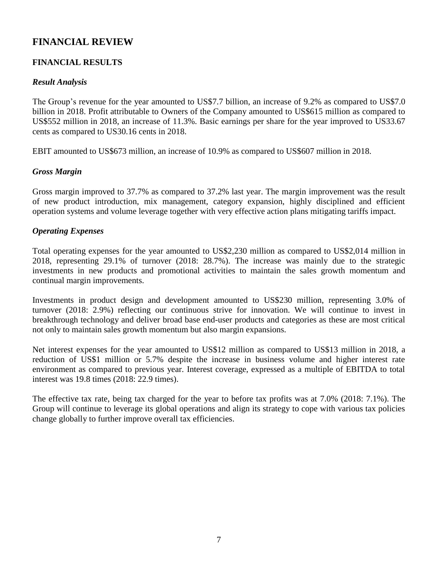# **FINANCIAL REVIEW**

### **FINANCIAL RESULTS**

### *Result Analysis*

The Group's revenue for the year amounted to US\$7.7 billion, an increase of 9.2% as compared to US\$7.0 billion in 2018. Profit attributable to Owners of the Company amounted to US\$615 million as compared to US\$552 million in 2018, an increase of 11.3%. Basic earnings per share for the year improved to US33.67 cents as compared to US30.16 cents in 2018.

EBIT amounted to US\$673 million, an increase of 10.9% as compared to US\$607 million in 2018.

### *Gross Margin*

Gross margin improved to 37.7% as compared to 37.2% last year. The margin improvement was the result of new product introduction, mix management, category expansion, highly disciplined and efficient operation systems and volume leverage together with very effective action plans mitigating tariffs impact.

### *Operating Expenses*

Total operating expenses for the year amounted to US\$2,230 million as compared to US\$2,014 million in 2018, representing 29.1% of turnover (2018: 28.7%). The increase was mainly due to the strategic investments in new products and promotional activities to maintain the sales growth momentum and continual margin improvements.

Investments in product design and development amounted to US\$230 million, representing 3.0% of turnover (2018: 2.9%) reflecting our continuous strive for innovation. We will continue to invest in breakthrough technology and deliver broad base end-user products and categories as these are most critical not only to maintain sales growth momentum but also margin expansions.

Net interest expenses for the year amounted to US\$12 million as compared to US\$13 million in 2018, a reduction of US\$1 million or 5.7% despite the increase in business volume and higher interest rate environment as compared to previous year. Interest coverage, expressed as a multiple of EBITDA to total interest was 19.8 times (2018: 22.9 times).

The effective tax rate, being tax charged for the year to before tax profits was at 7.0% (2018: 7.1%). The Group will continue to leverage its global operations and align its strategy to cope with various tax policies change globally to further improve overall tax efficiencies.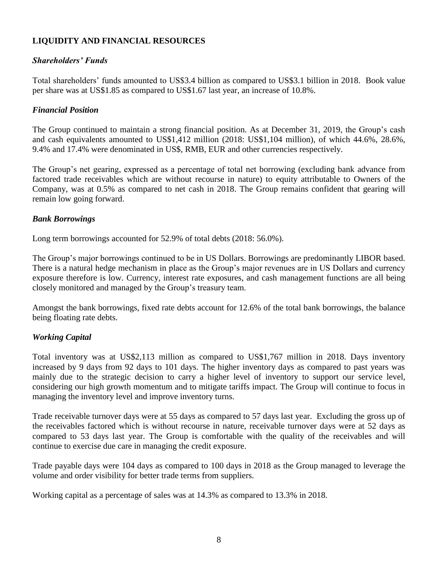### **LIQUIDITY AND FINANCIAL RESOURCES**

### *Shareholders' Funds*

Total shareholders' funds amounted to US\$3.4 billion as compared to US\$3.1 billion in 2018. Book value per share was at US\$1.85 as compared to US\$1.67 last year, an increase of 10.8%.

### *Financial Position*

The Group continued to maintain a strong financial position. As at December 31, 2019, the Group's cash and cash equivalents amounted to US\$1,412 million (2018: US\$1,104 million), of which 44.6%, 28.6%, 9.4% and 17.4% were denominated in US\$, RMB, EUR and other currencies respectively.

The Group's net gearing, expressed as a percentage of total net borrowing (excluding bank advance from factored trade receivables which are without recourse in nature) to equity attributable to Owners of the Company, was at 0.5% as compared to net cash in 2018. The Group remains confident that gearing will remain low going forward.

### *Bank Borrowings*

Long term borrowings accounted for 52.9% of total debts (2018: 56.0%).

The Group's major borrowings continued to be in US Dollars. Borrowings are predominantly LIBOR based. There is a natural hedge mechanism in place as the Group's major revenues are in US Dollars and currency exposure therefore is low. Currency, interest rate exposures, and cash management functions are all being closely monitored and managed by the Group's treasury team.

Amongst the bank borrowings, fixed rate debts account for 12.6% of the total bank borrowings, the balance being floating rate debts.

### *Working Capital*

Total inventory was at US\$2,113 million as compared to US\$1,767 million in 2018. Days inventory increased by 9 days from 92 days to 101 days. The higher inventory days as compared to past years was mainly due to the strategic decision to carry a higher level of inventory to support our service level, considering our high growth momentum and to mitigate tariffs impact. The Group will continue to focus in managing the inventory level and improve inventory turns.

Trade receivable turnover days were at 55 days as compared to 57 days last year. Excluding the gross up of the receivables factored which is without recourse in nature, receivable turnover days were at 52 days as compared to 53 days last year. The Group is comfortable with the quality of the receivables and will continue to exercise due care in managing the credit exposure.

Trade payable days were 104 days as compared to 100 days in 2018 as the Group managed to leverage the volume and order visibility for better trade terms from suppliers.

Working capital as a percentage of sales was at 14.3% as compared to 13.3% in 2018.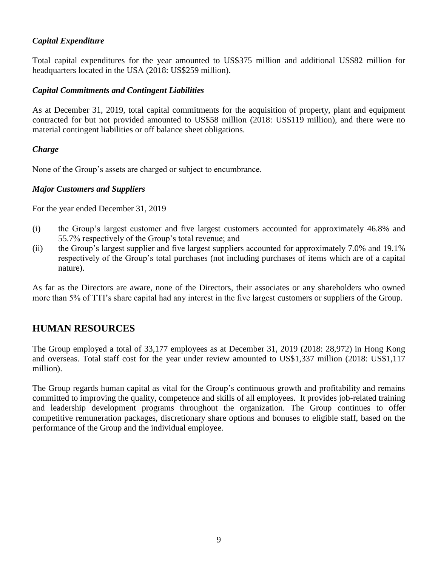### *Capital Expenditure*

Total capital expenditures for the year amounted to US\$375 million and additional US\$82 million for headquarters located in the USA (2018: US\$259 million).

### *Capital Commitments and Contingent Liabilities*

As at December 31, 2019, total capital commitments for the acquisition of property, plant and equipment contracted for but not provided amounted to US\$58 million (2018: US\$119 million), and there were no material contingent liabilities or off balance sheet obligations.

### *Charge*

None of the Group's assets are charged or subject to encumbrance.

### *Major Customers and Suppliers*

For the year ended December 31, 2019

- (i) the Group's largest customer and five largest customers accounted for approximately 46.8% and 55.7% respectively of the Group's total revenue; and
- (ii) the Group's largest supplier and five largest suppliers accounted for approximately 7.0% and 19.1% respectively of the Group's total purchases (not including purchases of items which are of a capital nature).

As far as the Directors are aware, none of the Directors, their associates or any shareholders who owned more than 5% of TTI's share capital had any interest in the five largest customers or suppliers of the Group.

# **HUMAN RESOURCES**

The Group employed a total of 33,177 employees as at December 31, 2019 (2018: 28,972) in Hong Kong and overseas. Total staff cost for the year under review amounted to US\$1,337 million (2018: US\$1,117 million).

The Group regards human capital as vital for the Group's continuous growth and profitability and remains committed to improving the quality, competence and skills of all employees. It provides job-related training and leadership development programs throughout the organization. The Group continues to offer competitive remuneration packages, discretionary share options and bonuses to eligible staff, based on the performance of the Group and the individual employee.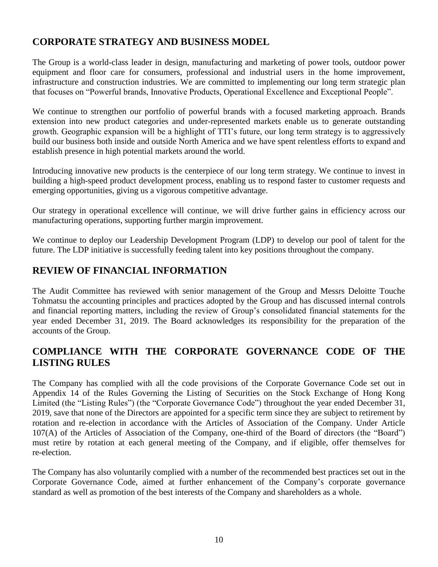# **CORPORATE STRATEGY AND BUSINESS MODEL**

The Group is a world-class leader in design, manufacturing and marketing of power tools, outdoor power equipment and floor care for consumers, professional and industrial users in the home improvement, infrastructure and construction industries. We are committed to implementing our long term strategic plan that focuses on "Powerful brands, Innovative Products, Operational Excellence and Exceptional People".

We continue to strengthen our portfolio of powerful brands with a focused marketing approach. Brands extension into new product categories and under-represented markets enable us to generate outstanding growth. Geographic expansion will be a highlight of TTI's future, our long term strategy is to aggressively build our business both inside and outside North America and we have spent relentless efforts to expand and establish presence in high potential markets around the world.

Introducing innovative new products is the centerpiece of our long term strategy. We continue to invest in building a high-speed product development process, enabling us to respond faster to customer requests and emerging opportunities, giving us a vigorous competitive advantage.

Our strategy in operational excellence will continue, we will drive further gains in efficiency across our manufacturing operations, supporting further margin improvement.

We continue to deploy our Leadership Development Program (LDP) to develop our pool of talent for the future. The LDP initiative is successfully feeding talent into key positions throughout the company.

# **REVIEW OF FINANCIAL INFORMATION**

The Audit Committee has reviewed with senior management of the Group and Messrs Deloitte Touche Tohmatsu the accounting principles and practices adopted by the Group and has discussed internal controls and financial reporting matters, including the review of Group's consolidated financial statements for the year ended December 31, 2019. The Board acknowledges its responsibility for the preparation of the accounts of the Group.

# **COMPLIANCE WITH THE CORPORATE GOVERNANCE CODE OF THE LISTING RULES**

The Company has complied with all the code provisions of the Corporate Governance Code set out in Appendix 14 of the Rules Governing the Listing of Securities on the Stock Exchange of Hong Kong Limited (the "Listing Rules") (the "Corporate Governance Code") throughout the year ended December 31, 2019, save that none of the Directors are appointed for a specific term since they are subject to retirement by rotation and re-election in accordance with the Articles of Association of the Company. Under Article 107(A) of the Articles of Association of the Company, one-third of the Board of directors (the "Board") must retire by rotation at each general meeting of the Company, and if eligible, offer themselves for re-election.

The Company has also voluntarily complied with a number of the recommended best practices set out in the Corporate Governance Code, aimed at further enhancement of the Company's corporate governance standard as well as promotion of the best interests of the Company and shareholders as a whole.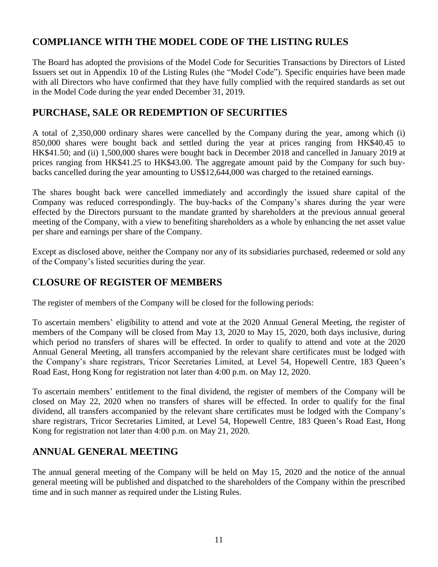# **COMPLIANCE WITH THE MODEL CODE OF THE LISTING RULES**

The Board has adopted the provisions of the Model Code for Securities Transactions by Directors of Listed Issuers set out in Appendix 10 of the Listing Rules (the "Model Code"). Specific enquiries have been made with all Directors who have confirmed that they have fully complied with the required standards as set out in the Model Code during the year ended December 31, 2019.

# **PURCHASE, SALE OR REDEMPTION OF SECURITIES**

A total of 2,350,000 ordinary shares were cancelled by the Company during the year, among which (i) 850,000 shares were bought back and settled during the year at prices ranging from HK\$40.45 to HK\$41.50; and (ii) 1,500,000 shares were bought back in December 2018 and cancelled in January 2019 at prices ranging from HK\$41.25 to HK\$43.00. The aggregate amount paid by the Company for such buybacks cancelled during the year amounting to US\$12,644,000 was charged to the retained earnings.

The shares bought back were cancelled immediately and accordingly the issued share capital of the Company was reduced correspondingly. The buy-backs of the Company's shares during the year were effected by the Directors pursuant to the mandate granted by shareholders at the previous annual general meeting of the Company, with a view to benefiting shareholders as a whole by enhancing the net asset value per share and earnings per share of the Company.

Except as disclosed above, neither the Company nor any of its subsidiaries purchased, redeemed or sold any of the Company's listed securities during the year.

# **CLOSURE OF REGISTER OF MEMBERS**

The register of members of the Company will be closed for the following periods:

To ascertain members' eligibility to attend and vote at the 2020 Annual General Meeting, the register of members of the Company will be closed from May 13, 2020 to May 15, 2020, both days inclusive, during which period no transfers of shares will be effected. In order to qualify to attend and vote at the 2020 Annual General Meeting, all transfers accompanied by the relevant share certificates must be lodged with the Company's share registrars, Tricor Secretaries Limited, at Level 54, Hopewell Centre, 183 Queen's Road East, Hong Kong for registration not later than 4:00 p.m. on May 12, 2020.

To ascertain members' entitlement to the final dividend, the register of members of the Company will be closed on May 22, 2020 when no transfers of shares will be effected. In order to qualify for the final dividend, all transfers accompanied by the relevant share certificates must be lodged with the Company's share registrars, Tricor Secretaries Limited, at Level 54, Hopewell Centre, 183 Queen's Road East, Hong Kong for registration not later than 4:00 p.m. on May 21, 2020.

## **ANNUAL GENERAL MEETING**

The annual general meeting of the Company will be held on May 15, 2020 and the notice of the annual general meeting will be published and dispatched to the shareholders of the Company within the prescribed time and in such manner as required under the Listing Rules.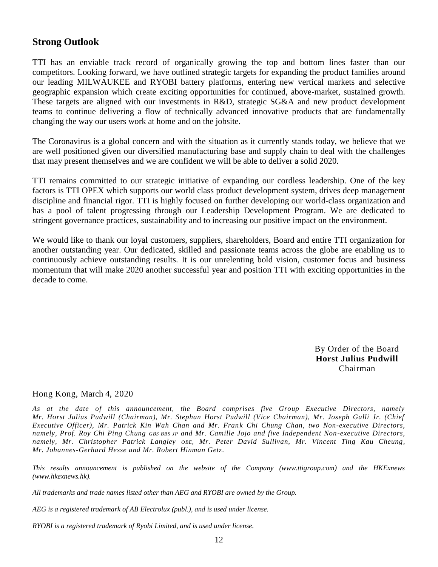### **Strong Outlook**

TTI has an enviable track record of organically growing the top and bottom lines faster than our competitors. Looking forward, we have outlined strategic targets for expanding the product families around our leading MILWAUKEE and RYOBI battery platforms, entering new vertical markets and selective geographic expansion which create exciting opportunities for continued, above-market, sustained growth. These targets are aligned with our investments in R&D, strategic SG&A and new product development teams to continue delivering a flow of technically advanced innovative products that are fundamentally changing the way our users work at home and on the jobsite.

The Coronavirus is a global concern and with the situation as it currently stands today, we believe that we are well positioned given our diversified manufacturing base and supply chain to deal with the challenges that may present themselves and we are confident we will be able to deliver a solid 2020.

TTI remains committed to our strategic initiative of expanding our cordless leadership. One of the key factors is TTI OPEX which supports our world class product development system, drives deep management discipline and financial rigor. TTI is highly focused on further developing our world-class organization and has a pool of talent progressing through our Leadership Development Program. We are dedicated to stringent governance practices, sustainability and to increasing our positive impact on the environment.

We would like to thank our loyal customers, suppliers, shareholders, Board and entire TTI organization for another outstanding year. Our dedicated, skilled and passionate teams across the globe are enabling us to continuously achieve outstanding results. It is our unrelenting bold vision, customer focus and business momentum that will make 2020 another successful year and position TTI with exciting opportunities in the decade to come.

> By Order of the Board **Horst Julius Pudwill** Chairman

### Hong Kong, March 4, 2020

*As at the date of this announcement, the Board comprises five Group Executive Directors, namely Mr. Horst Julius Pudwill (Chairman), Mr. Stephan Horst Pudwill (Vice Chairman), Mr. Joseph Galli Jr. (Chief Executive Officer), Mr. Patrick Kin Wah Chan and Mr. Frank Chi Chung Chan, two Non-executive Directors, namely, Prof. Roy Chi Ping Chung GBS BBS JP and Mr. Camille Jojo and five Independent Non-executive Directors, namely, Mr. Christopher Patrick Langley OBE, Mr. Peter David Sullivan, Mr. Vincent Ting Kau Cheung, Mr. Johannes-Gerhard Hesse and Mr. Robert Hinman Getz.*

*This results announcement is published on the website of the Company (www.ttigroup.com) and the HKExnews (www.hkexnews.hk).*

*All trademarks and trade names listed other than AEG and RYOBI are owned by the Group.*

*AEG is a registered trademark of AB Electrolux (publ.), and is used under license.*

*RYOBI is a registered trademark of Ryobi Limited, and is used under license.*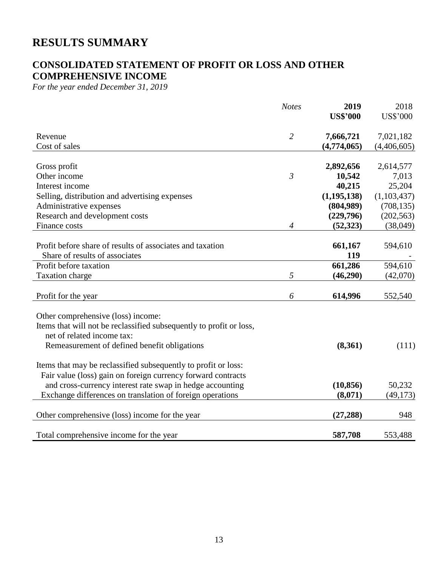# **RESULTS SUMMARY**

# **CONSOLIDATED STATEMENT OF PROFIT OR LOSS AND OTHER COMPREHENSIVE INCOME**

*For the year ended December 31, 2019*

|                                                                     | <b>Notes</b>   | 2019            | 2018            |
|---------------------------------------------------------------------|----------------|-----------------|-----------------|
|                                                                     |                | <b>US\$'000</b> | <b>US\$'000</b> |
| Revenue                                                             | $\overline{2}$ | 7,666,721       | 7,021,182       |
| Cost of sales                                                       |                | (4,774,065)     | (4,406,605)     |
| Gross profit                                                        |                | 2,892,656       | 2,614,577       |
| Other income                                                        | $\mathfrak{Z}$ | 10,542          | 7,013           |
| Interest income                                                     |                | 40,215          | 25,204          |
| Selling, distribution and advertising expenses                      |                | (1, 195, 138)   | (1,103,437)     |
| Administrative expenses                                             |                | (804,989)       | (708, 135)      |
| Research and development costs                                      |                | (229,796)       | (202, 563)      |
| Finance costs                                                       | 4              | (52, 323)       | (38,049)        |
|                                                                     |                |                 |                 |
| Profit before share of results of associates and taxation           |                | 661,167         | 594,610         |
| Share of results of associates                                      |                | 119             |                 |
| Profit before taxation                                              |                | 661,286         | 594,610         |
| <b>Taxation charge</b>                                              | 5              | (46,290)        | (42,070)        |
|                                                                     |                |                 |                 |
| Profit for the year                                                 | 6              | 614,996         | 552,540         |
| Other comprehensive (loss) income:                                  |                |                 |                 |
| Items that will not be reclassified subsequently to profit or loss, |                |                 |                 |
| net of related income tax:                                          |                |                 |                 |
| Remeasurement of defined benefit obligations                        |                | (8,361)         | (111)           |
|                                                                     |                |                 |                 |
| Items that may be reclassified subsequently to profit or loss:      |                |                 |                 |
| Fair value (loss) gain on foreign currency forward contracts        |                |                 |                 |
| and cross-currency interest rate swap in hedge accounting           |                | (10, 856)       | 50,232          |
| Exchange differences on translation of foreign operations           |                | (8,071)         | (49, 173)       |
|                                                                     |                |                 |                 |
| Other comprehensive (loss) income for the year                      |                | (27, 288)       | 948             |
|                                                                     |                |                 |                 |
| Total comprehensive income for the year                             |                | 587,708         | 553,488         |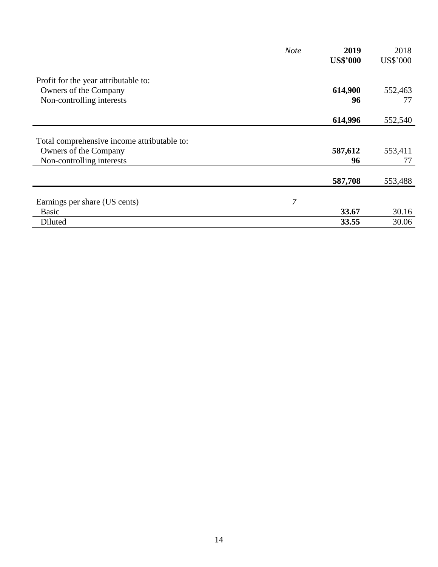|                                             | <b>Note</b> | 2019            | 2018     |
|---------------------------------------------|-------------|-----------------|----------|
|                                             |             | <b>US\$'000</b> | US\$'000 |
| Profit for the year attributable to:        |             |                 |          |
| Owners of the Company                       |             | 614,900         | 552,463  |
| Non-controlling interests                   |             | 96              | 77       |
|                                             |             |                 |          |
|                                             |             | 614,996         | 552,540  |
|                                             |             |                 |          |
| Total comprehensive income attributable to: |             |                 |          |
| Owners of the Company                       |             | 587,612         | 553,411  |
| Non-controlling interests                   |             | 96              | 77       |
|                                             |             |                 |          |
|                                             |             | 587,708         | 553,488  |
|                                             |             |                 |          |
| Earnings per share (US cents)               | 7           |                 |          |
| <b>Basic</b>                                |             | 33.67           | 30.16    |
| Diluted                                     |             | 33.55           | 30.06    |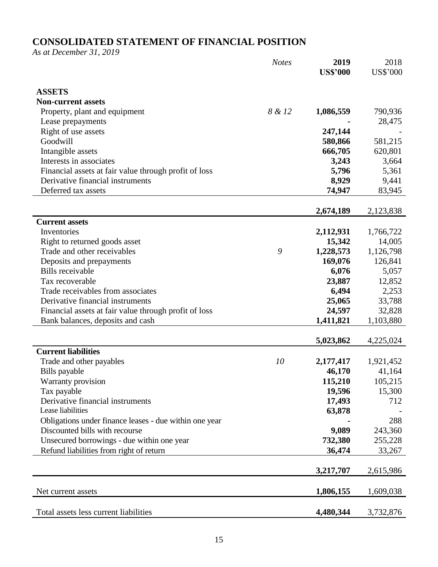# **CONSOLIDATED STATEMENT OF FINANCIAL POSITION**

*As at December 31, 2019*

|                                                        | <b>Notes</b> | 2019<br><b>US\$'000</b> | 2018<br><b>US\$'000</b> |
|--------------------------------------------------------|--------------|-------------------------|-------------------------|
|                                                        |              |                         |                         |
| <b>ASSETS</b>                                          |              |                         |                         |
| <b>Non-current assets</b>                              |              |                         |                         |
| Property, plant and equipment                          | 8 & 12       | 1,086,559               | 790,936                 |
| Lease prepayments                                      |              |                         | 28,475                  |
| Right of use assets                                    |              | 247,144                 |                         |
| Goodwill                                               |              | 580,866                 | 581,215                 |
| Intangible assets                                      |              | 666,705                 | 620,801                 |
| Interests in associates                                |              | 3,243                   | 3,664                   |
| Financial assets at fair value through profit of loss  |              | 5,796                   | 5,361                   |
| Derivative financial instruments                       |              | 8,929                   | 9,441                   |
| Deferred tax assets                                    |              | 74,947                  | 83,945                  |
|                                                        |              |                         |                         |
|                                                        |              | 2,674,189               | 2,123,838               |
| <b>Current assets</b>                                  |              |                         |                         |
| Inventories                                            |              | 2,112,931               | 1,766,722               |
| Right to returned goods asset                          |              | 15,342                  | 14,005                  |
| Trade and other receivables                            | 9            | 1,228,573               | 1,126,798               |
| Deposits and prepayments                               |              | 169,076                 | 126,841                 |
| <b>Bills</b> receivable                                |              | 6,076                   | 5,057                   |
| Tax recoverable                                        |              | 23,887                  | 12,852                  |
| Trade receivables from associates                      |              | 6,494                   | 2,253                   |
| Derivative financial instruments                       |              | 25,065                  | 33,788                  |
| Financial assets at fair value through profit of loss  |              | 24,597                  | 32,828                  |
| Bank balances, deposits and cash                       |              | 1,411,821               | 1,103,880               |
|                                                        |              |                         |                         |
| <b>Current liabilities</b>                             |              | 5,023,862               | 4,225,024               |
|                                                        | 10           |                         |                         |
| Trade and other payables                               |              | 2,177,417<br>46,170     | 1,921,452<br>41,164     |
| Bills payable<br>Warranty provision                    |              | 115,210                 | 105,215                 |
| Tax payable                                            |              | 19,596                  | 15,300                  |
| Derivative financial instruments                       |              | 17,493                  | 712                     |
| Lease liabilities                                      |              | 63,878                  |                         |
| Obligations under finance leases - due within one year |              |                         | 288                     |
| Discounted bills with recourse                         |              | 9,089                   | 243,360                 |
| Unsecured borrowings - due within one year             |              | 732,380                 | 255,228                 |
| Refund liabilities from right of return                |              | 36,474                  | 33,267                  |
|                                                        |              |                         |                         |
|                                                        |              | 3,217,707               | 2,615,986               |
|                                                        |              |                         |                         |
| Net current assets                                     |              | 1,806,155               | 1,609,038               |
| Total assets less current liabilities                  |              | 4,480,344               | 3,732,876               |
|                                                        |              |                         |                         |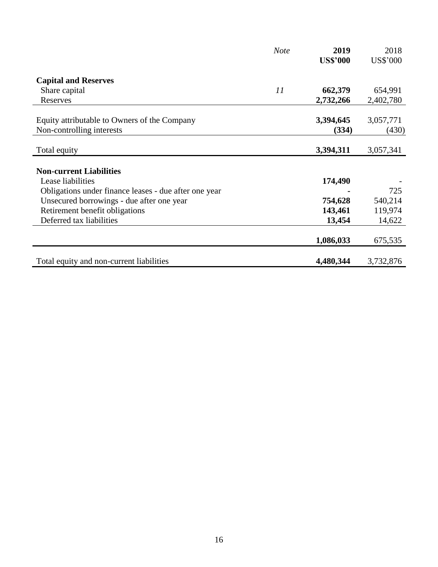|                                                       | <b>Note</b> | 2019            | 2018            |
|-------------------------------------------------------|-------------|-----------------|-----------------|
|                                                       |             | <b>US\$'000</b> | <b>US\$'000</b> |
| <b>Capital and Reserves</b>                           |             |                 |                 |
| Share capital                                         | 11          | 662,379         | 654,991         |
| Reserves                                              |             | 2,732,266       | 2,402,780       |
| Equity attributable to Owners of the Company          |             | 3,394,645       | 3,057,771       |
| Non-controlling interests                             |             | (334)           | (430)           |
| Total equity                                          |             | 3,394,311       | 3,057,341       |
|                                                       |             |                 |                 |
| <b>Non-current Liabilities</b>                        |             |                 |                 |
| Lease liabilities                                     |             | 174,490         |                 |
| Obligations under finance leases - due after one year |             |                 | 725             |
| Unsecured borrowings - due after one year             |             | 754,628         | 540,214         |
| Retirement benefit obligations                        |             | 143,461         | 119,974         |
| Deferred tax liabilities                              |             | 13,454          | 14,622          |
|                                                       |             | 1,086,033       | 675,535         |
| Total equity and non-current liabilities              |             | 4,480,344       | 3,732,876       |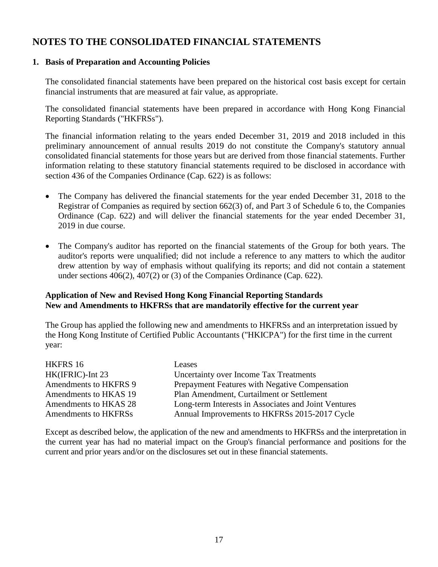# **NOTES TO THE CONSOLIDATED FINANCIAL STATEMENTS**

### **1. Basis of Preparation and Accounting Policies**

The consolidated financial statements have been prepared on the historical cost basis except for certain financial instruments that are measured at fair value, as appropriate.

The consolidated financial statements have been prepared in accordance with Hong Kong Financial Reporting Standards ("HKFRSs").

The financial information relating to the years ended December 31, 2019 and 2018 included in this preliminary announcement of annual results 2019 do not constitute the Company's statutory annual consolidated financial statements for those years but are derived from those financial statements. Further information relating to these statutory financial statements required to be disclosed in accordance with section 436 of the Companies Ordinance (Cap. 622) is as follows:

- The Company has delivered the financial statements for the year ended December 31, 2018 to the Registrar of Companies as required by section 662(3) of, and Part 3 of Schedule 6 to, the Companies Ordinance (Cap. 622) and will deliver the financial statements for the year ended December 31, 2019 in due course.
- The Company's auditor has reported on the financial statements of the Group for both years. The auditor's reports were unqualified; did not include a reference to any matters to which the auditor drew attention by way of emphasis without qualifying its reports; and did not contain a statement under sections 406(2), 407(2) or (3) of the Companies Ordinance (Cap. 622).

### **Application of New and Revised Hong Kong Financial Reporting Standards New and Amendments to HKFRSs that are mandatorily effective for the current year**

The Group has applied the following new and amendments to HKFRSs and an interpretation issued by the Hong Kong Institute of Certified Public Accountants ("HKICPA") for the first time in the current year:

| HKFRS 16              | Leases                                               |
|-----------------------|------------------------------------------------------|
| HK(IFRIC)-Int 23      | Uncertainty over Income Tax Treatments               |
| Amendments to HKFRS 9 | Prepayment Features with Negative Compensation       |
| Amendments to HKAS 19 | Plan Amendment, Curtailment or Settlement            |
| Amendments to HKAS 28 | Long-term Interests in Associates and Joint Ventures |
| Amendments to HKFRSs  | Annual Improvements to HKFRSs 2015-2017 Cycle        |

Except as described below, the application of the new and amendments to HKFRSs and the interpretation in the current year has had no material impact on the Group's financial performance and positions for the current and prior years and/or on the disclosures set out in these financial statements.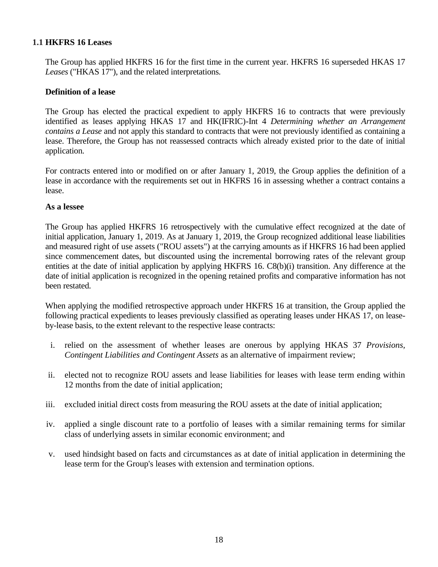### **1.1 HKFRS 16 Leases**

The Group has applied HKFRS 16 for the first time in the current year. HKFRS 16 superseded HKAS 17 *Leases* ("HKAS 17"), and the related interpretations.

### **Definition of a lease**

The Group has elected the practical expedient to apply HKFRS 16 to contracts that were previously identified as leases applying HKAS 17 and HK(IFRIC)-Int 4 *Determining whether an Arrangement contains a Lease* and not apply this standard to contracts that were not previously identified as containing a lease. Therefore, the Group has not reassessed contracts which already existed prior to the date of initial application.

For contracts entered into or modified on or after January 1, 2019, the Group applies the definition of a lease in accordance with the requirements set out in HKFRS 16 in assessing whether a contract contains a lease.

### **As a lessee**

The Group has applied HKFRS 16 retrospectively with the cumulative effect recognized at the date of initial application, January 1, 2019. As at January 1, 2019, the Group recognized additional lease liabilities and measured right of use assets ("ROU assets") at the carrying amounts as if HKFRS 16 had been applied since commencement dates, but discounted using the incremental borrowing rates of the relevant group entities at the date of initial application by applying HKFRS 16. C8(b)(i) transition. Any difference at the date of initial application is recognized in the opening retained profits and comparative information has not been restated.

When applying the modified retrospective approach under HKFRS 16 at transition, the Group applied the following practical expedients to leases previously classified as operating leases under HKAS 17, on leaseby-lease basis, to the extent relevant to the respective lease contracts:

- i. relied on the assessment of whether leases are onerous by applying HKAS 37 *Provisions, Contingent Liabilities and Contingent Assets* as an alternative of impairment review;
- ii. elected not to recognize ROU assets and lease liabilities for leases with lease term ending within 12 months from the date of initial application;
- iii. excluded initial direct costs from measuring the ROU assets at the date of initial application;
- iv. applied a single discount rate to a portfolio of leases with a similar remaining terms for similar class of underlying assets in similar economic environment; and
- v. used hindsight based on facts and circumstances as at date of initial application in determining the lease term for the Group's leases with extension and termination options.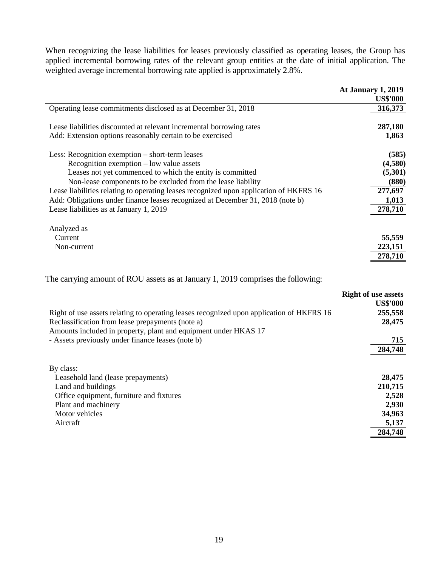When recognizing the lease liabilities for leases previously classified as operating leases, the Group has applied incremental borrowing rates of the relevant group entities at the date of initial application. The weighted average incremental borrowing rate applied is approximately 2.8%.

|                                                                                        | <b>At January 1, 2019</b> |
|----------------------------------------------------------------------------------------|---------------------------|
|                                                                                        | <b>US\$'000</b>           |
| Operating lease commitments disclosed as at December 31, 2018                          | 316,373                   |
| Lease liabilities discounted at relevant incremental borrowing rates                   | 287,180                   |
| Add: Extension options reasonably certain to be exercised                              | 1,863                     |
| Less: Recognition exemption – short-term leases                                        | (585)                     |
| Recognition exemption $-$ low value assets                                             | (4,580)                   |
| Leases not yet commenced to which the entity is committed                              | (5,301)                   |
| Non-lease components to be excluded from the lease liability                           | (880)                     |
| Lease liabilities relating to operating leases recognized upon application of HKFRS 16 | 277,697                   |
| Add: Obligations under finance leases recognized at December 31, 2018 (note b)         | 1,013                     |
| Lease liabilities as at January 1, 2019                                                | 278,710                   |
| Analyzed as                                                                            |                           |
| Current                                                                                | 55,559                    |
| Non-current                                                                            | 223,151                   |
|                                                                                        | 278,710                   |

The carrying amount of ROU assets as at January 1, 2019 comprises the following:

|                                                                                          | <b>Right of use assets</b><br><b>US\$'000</b> |
|------------------------------------------------------------------------------------------|-----------------------------------------------|
| Right of use assets relating to operating leases recognized upon application of HKFRS 16 | 255,558                                       |
| Reclassification from lease prepayments (note a)                                         | 28,475                                        |
| Amounts included in property, plant and equipment under HKAS 17                          |                                               |
| - Assets previously under finance leases (note b)                                        | 715                                           |
|                                                                                          | 284,748                                       |
| By class:                                                                                |                                               |
| Leasehold land (lease prepayments)                                                       | 28,475                                        |
| Land and buildings                                                                       | 210,715                                       |
| Office equipment, furniture and fixtures                                                 | 2,528                                         |
| Plant and machinery                                                                      | 2,930                                         |
| Motor vehicles                                                                           | 34,963                                        |
| Aircraft                                                                                 | 5,137                                         |
|                                                                                          | 284,748                                       |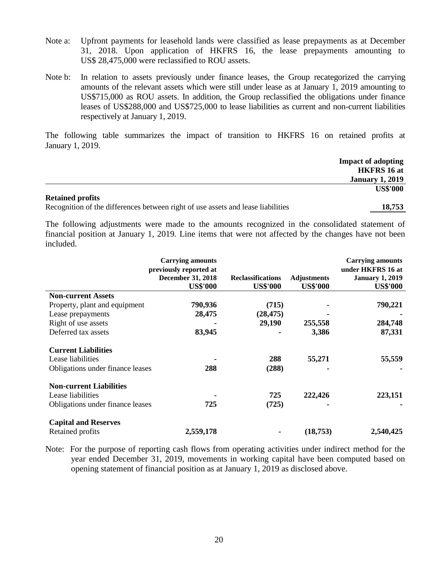- Note a: Upfront payments for leasehold lands were classified as lease prepayments as at December 31, 2018. Upon application of HKFRS 16, the lease prepayments amounting to US\$ 28,475,000 were reclassified to ROU assets.
- Note b: In relation to assets previously under finance leases, the Group recategorized the carrying amounts of the relevant assets which were still under lease as at January 1, 2019 amounting to US\$715,000 as ROU assets. In addition, the Group reclassified the obligations under finance leases of US\$288,000 and US\$725,000 to lease liabilities as current and non-current liabilities respectively at January 1, 2019.

The following table summarizes the impact of transition to HKFRS 16 on retained profits at January 1, 2019.

|                         |  |                      |        | <b>Impact of adopting</b>   |
|-------------------------|--|----------------------|--------|-----------------------------|
|                         |  |                      |        | <b>HKFRS</b> 16 at          |
|                         |  |                      |        | <b>January 1, 2019</b>      |
|                         |  |                      |        | <b>US\$'000</b>             |
| <b>Retained profits</b> |  |                      |        |                             |
|                         |  | $\sim$ $\sim$ $\sim$ | .<br>. | $\sim$ $\sim$ $\sim$ $\sim$ |

Recognition of the differences between right of use assets and lease liabilities **18,753**

The following adjustments were made to the amounts recognized in the consolidated statement of financial position at January 1, 2019. Line items that were not affected by the changes have not been included.

|                                  | <b>Carrying amounts</b><br>previously reported at<br><b>December 31, 2018</b><br><b>US\$'000</b> | <b>Reclassifications</b><br><b>US\$'000</b> | <b>Adjustments</b><br><b>US\$'000</b> | <b>Carrying amounts</b><br>under HKFRS 16 at<br><b>January 1, 2019</b><br><b>US\$'000</b> |
|----------------------------------|--------------------------------------------------------------------------------------------------|---------------------------------------------|---------------------------------------|-------------------------------------------------------------------------------------------|
|                                  |                                                                                                  |                                             |                                       |                                                                                           |
| <b>Non-current Assets</b>        |                                                                                                  |                                             |                                       |                                                                                           |
| Property, plant and equipment    | 790,936                                                                                          | (715)                                       |                                       | 790,221                                                                                   |
| Lease prepayments                | 28,475                                                                                           | (28, 475)                                   |                                       |                                                                                           |
| Right of use assets              |                                                                                                  | 29,190                                      | 255,558                               | 284,748                                                                                   |
| Deferred tax assets              | 83,945                                                                                           |                                             | 3,386                                 | 87,331                                                                                    |
| <b>Current Liabilities</b>       |                                                                                                  |                                             |                                       |                                                                                           |
| Lease liabilities                |                                                                                                  | 288                                         | 55,271                                | 55,559                                                                                    |
| Obligations under finance leases | 288                                                                                              | (288)                                       |                                       |                                                                                           |
| <b>Non-current Liabilities</b>   |                                                                                                  |                                             |                                       |                                                                                           |
| Lease liabilities                |                                                                                                  | 725                                         | 222,426                               | 223,151                                                                                   |
| Obligations under finance leases | 725                                                                                              | (725)                                       |                                       |                                                                                           |
| <b>Capital and Reserves</b>      |                                                                                                  |                                             |                                       |                                                                                           |
| Retained profits                 | 2,559,178                                                                                        |                                             | (18, 753)                             | 2,540,425                                                                                 |

Note: For the purpose of reporting cash flows from operating activities under indirect method for the year ended December 31, 2019, movements in working capital have been computed based on opening statement of financial position as at January 1, 2019 as disclosed above.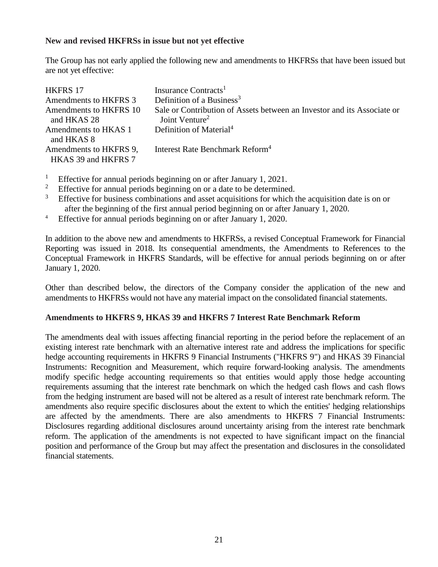### **New and revised HKFRSs in issue but not yet effective**

The Group has not early applied the following new and amendments to HKFRSs that have been issued but are not yet effective:

| <b>HKFRS 17</b>        | Insurance Contracts <sup>1</sup>                                        |
|------------------------|-------------------------------------------------------------------------|
| Amendments to HKFRS 3  | Definition of a Business <sup>3</sup>                                   |
| Amendments to HKFRS 10 | Sale or Contribution of Assets between an Investor and its Associate or |
| and HKAS 28            | Joint Venture <sup>2</sup>                                              |
| Amendments to HKAS 1   | Definition of Material <sup>4</sup>                                     |
| and HKAS 8             |                                                                         |
| Amendments to HKFRS 9. | Interest Rate Benchmark Reform <sup>4</sup>                             |
| HKAS 39 and HKFRS 7    |                                                                         |

- <sup>1</sup> Effective for annual periods beginning on or after January 1, 2021.
- <sup>2</sup> Effective for annual periods beginning on or a date to be determined.<br><sup>3</sup> Effective for business combinations and asset acquisitions for which is
- Effective for business combinations and asset acquisitions for which the acquisition date is on or after the beginning of the first annual period beginning on or after January 1, 2020.
- <sup>4</sup> Effective for annual periods beginning on or after January 1, 2020.

In addition to the above new and amendments to HKFRSs, a revised Conceptual Framework for Financial Reporting was issued in 2018. Its consequential amendments, the Amendments to References to the Conceptual Framework in HKFRS Standards, will be effective for annual periods beginning on or after January 1, 2020.

Other than described below, the directors of the Company consider the application of the new and amendments to HKFRSs would not have any material impact on the consolidated financial statements.

### **Amendments to HKFRS 9, HKAS 39 and HKFRS 7 Interest Rate Benchmark Reform**

The amendments deal with issues affecting financial reporting in the period before the replacement of an existing interest rate benchmark with an alternative interest rate and address the implications for specific hedge accounting requirements in HKFRS 9 Financial Instruments ("HKFRS 9") and HKAS 39 Financial Instruments: Recognition and Measurement, which require forward-looking analysis. The amendments modify specific hedge accounting requirements so that entities would apply those hedge accounting requirements assuming that the interest rate benchmark on which the hedged cash flows and cash flows from the hedging instrument are based will not be altered as a result of interest rate benchmark reform. The amendments also require specific disclosures about the extent to which the entities' hedging relationships are affected by the amendments. There are also amendments to HKFRS 7 Financial Instruments: Disclosures regarding additional disclosures around uncertainty arising from the interest rate benchmark reform. The application of the amendments is not expected to have significant impact on the financial position and performance of the Group but may affect the presentation and disclosures in the consolidated financial statements.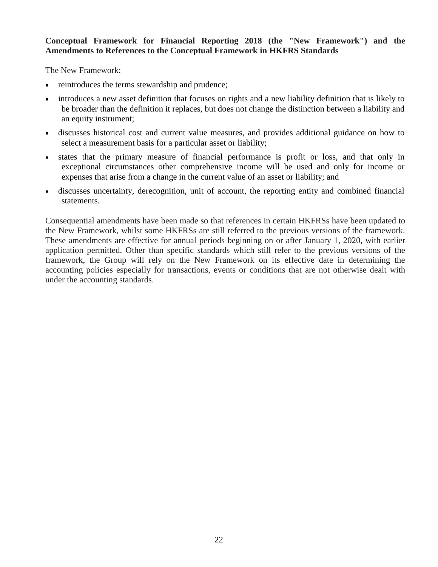### **Conceptual Framework for Financial Reporting 2018 (the "New Framework") and the Amendments to References to the Conceptual Framework in HKFRS Standards**

The New Framework:

- reintroduces the terms stewardship and prudence;
- introduces a new asset definition that focuses on rights and a new liability definition that is likely to be broader than the definition it replaces, but does not change the distinction between a liability and an equity instrument;
- discusses historical cost and current value measures, and provides additional guidance on how to select a measurement basis for a particular asset or liability;
- states that the primary measure of financial performance is profit or loss, and that only in exceptional circumstances other comprehensive income will be used and only for income or expenses that arise from a change in the current value of an asset or liability; and
- discusses uncertainty, derecognition, unit of account, the reporting entity and combined financial statements.

Consequential amendments have been made so that references in certain HKFRSs have been updated to the New Framework, whilst some HKFRSs are still referred to the previous versions of the framework. These amendments are effective for annual periods beginning on or after January 1, 2020, with earlier application permitted. Other than specific standards which still refer to the previous versions of the framework, the Group will rely on the New Framework on its effective date in determining the accounting policies especially for transactions, events or conditions that are not otherwise dealt with under the accounting standards.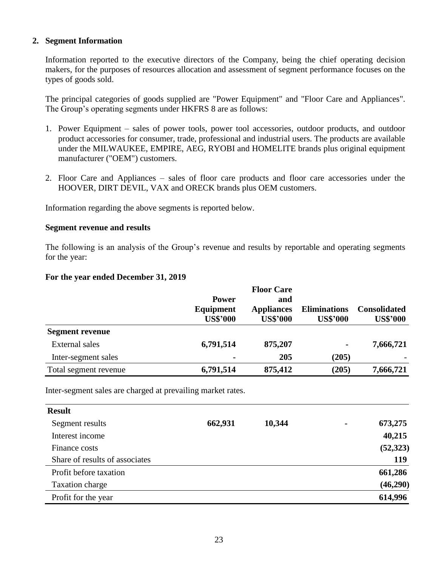#### **2. Segment Information**

Information reported to the executive directors of the Company, being the chief operating decision makers, for the purposes of resources allocation and assessment of segment performance focuses on the types of goods sold.

The principal categories of goods supplied are "Power Equipment" and "Floor Care and Appliances". The Group's operating segments under HKFRS 8 are as follows:

- 1. Power Equipment sales of power tools, power tool accessories, outdoor products, and outdoor product accessories for consumer, trade, professional and industrial users. The products are available under the MILWAUKEE, EMPIRE, AEG, RYOBI and HOMELITE brands plus original equipment manufacturer ("OEM") customers.
- 2. Floor Care and Appliances sales of floor care products and floor care accessories under the HOOVER, DIRT DEVIL, VAX and ORECK brands plus OEM customers.

Information regarding the above segments is reported below.

#### **Segment revenue and results**

The following is an analysis of the Group's revenue and results by reportable and operating segments for the year:

#### **For the year ended December 31, 2019**

|                        |                           | <b>Floor Care</b>        |                     | <b>Consolidated</b> |
|------------------------|---------------------------|--------------------------|---------------------|---------------------|
|                        | <b>Power</b><br>Equipment | and<br><b>Appliances</b> | <b>Eliminations</b> |                     |
|                        | <b>US\$'000</b>           | <b>US\$'000</b>          | <b>US\$'000</b>     | <b>US\$'000</b>     |
| <b>Segment revenue</b> |                           |                          |                     |                     |
| External sales         | 6,791,514                 | 875,207                  | ۰                   | 7,666,721           |
| Inter-segment sales    | $\blacksquare$            | 205                      | (205)               |                     |
| Total segment revenue  | 6,791,514                 | 875,412                  | (205)               | 7,666,721           |

Inter-segment sales are charged at prevailing market rates.

| <b>Result</b>                  |         |        |                |           |
|--------------------------------|---------|--------|----------------|-----------|
| Segment results                | 662,931 | 10,344 | $\blacksquare$ | 673,275   |
| Interest income                |         |        |                | 40,215    |
| Finance costs                  |         |        |                | (52, 323) |
| Share of results of associates |         |        |                | 119       |
| Profit before taxation         |         |        |                | 661,286   |
| Taxation charge                |         |        |                | (46,290)  |
| Profit for the year            |         |        |                | 614,996   |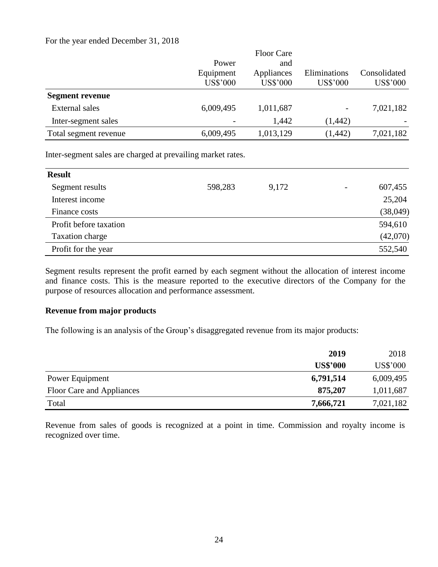#### For the year ended December 31, 2018

|                        |                 | <b>Floor Care</b> |              |              |
|------------------------|-----------------|-------------------|--------------|--------------|
|                        | Power           | and               |              |              |
|                        | Equipment       | Appliances        | Eliminations | Consolidated |
|                        | <b>US\$'000</b> | <b>US\$'000</b>   | US\$'000     | US\$'000     |
| <b>Segment revenue</b> |                 |                   |              |              |
| External sales         | 6,009,495       | 1,011,687         |              | 7,021,182    |
| Inter-segment sales    |                 | 1,442             | (1, 442)     |              |
| Total segment revenue  | 6,009,495       | 1,013,129         | (1, 442)     | 7,021,182    |
|                        |                 |                   |              |              |

Inter-segment sales are charged at prevailing market rates.

| <b>Result</b>          |         |       |                          |          |
|------------------------|---------|-------|--------------------------|----------|
| Segment results        | 598,283 | 9,172 | $\overline{\phantom{a}}$ | 607,455  |
| Interest income        |         |       |                          | 25,204   |
| Finance costs          |         |       |                          | (38,049) |
| Profit before taxation |         |       |                          | 594,610  |
| Taxation charge        |         |       |                          | (42,070) |
| Profit for the year    |         |       |                          | 552,540  |

Segment results represent the profit earned by each segment without the allocation of interest income and finance costs. This is the measure reported to the executive directors of the Company for the purpose of resources allocation and performance assessment.

### **Revenue from major products**

The following is an analysis of the Group's disaggregated revenue from its major products:

|                           | 2019            | 2018            |
|---------------------------|-----------------|-----------------|
|                           | <b>US\$'000</b> | <b>US\$'000</b> |
| Power Equipment           | 6,791,514       | 6,009,495       |
| Floor Care and Appliances | 875,207         | 1,011,687       |
| Total                     | 7,666,721       | 7,021,182       |

Revenue from sales of goods is recognized at a point in time. Commission and royalty income is recognized over time.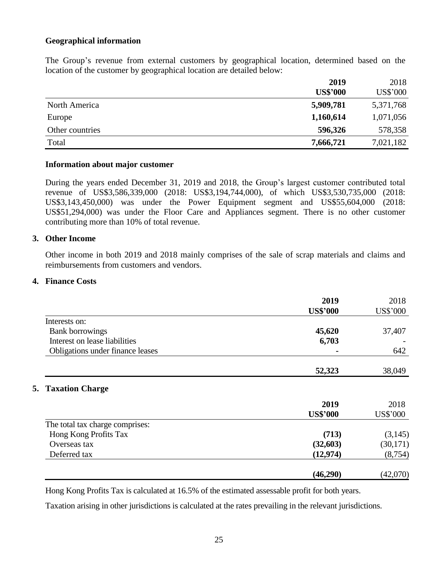### **Geographical information**

The Group's revenue from external customers by geographical location, determined based on the location of the customer by geographical location are detailed below:

|                 | 2019            | 2018      |
|-----------------|-----------------|-----------|
|                 | <b>US\$'000</b> | US\$'000  |
| North America   | 5,909,781       | 5,371,768 |
| Europe          | 1,160,614       | 1,071,056 |
| Other countries | 596,326         | 578,358   |
| Total           | 7,666,721       | 7,021,182 |

#### **Information about major customer**

During the years ended December 31, 2019 and 2018, the Group's largest customer contributed total revenue of US\$3,586,339,000 (2018: US\$3,194,744,000), of which US\$3,530,735,000 (2018: US\$3,143,450,000) was under the Power Equipment segment and US\$55,604,000 (2018: US\$51,294,000) was under the Floor Care and Appliances segment. There is no other customer contributing more than 10% of total revenue.

#### **3. Other Income**

Other income in both 2019 and 2018 mainly comprises of the sale of scrap materials and claims and reimbursements from customers and vendors.

### **4. Finance Costs**

|                                  | 2019            | 2018                           |
|----------------------------------|-----------------|--------------------------------|
|                                  | <b>US\$'000</b> | <b>US\$'000</b>                |
| Interests on:                    |                 |                                |
| <b>Bank borrowings</b>           | 45,620          | 37,407                         |
| Interest on lease liabilities    | 6,703           |                                |
| Obligations under finance leases |                 | 642                            |
|                                  | 52,323          | 38,049                         |
| <b>5. Taxation Charge</b>        |                 |                                |
|                                  | 2019            | 2018                           |
|                                  | <b>US\$'000</b> |                                |
| The total tax charge comprises:  |                 | US\$'000                       |
|                                  |                 |                                |
| Hong Kong Profits Tax            | (713)           |                                |
| Overseas tax                     | (32,603)        |                                |
| Deferred tax                     | (12, 974)       | (3,145)<br>(30,171)<br>(8,754) |

Hong Kong Profits Tax is calculated at 16.5% of the estimated assessable profit for both years.

Taxation arising in other jurisdictions is calculated at the rates prevailing in the relevant jurisdictions.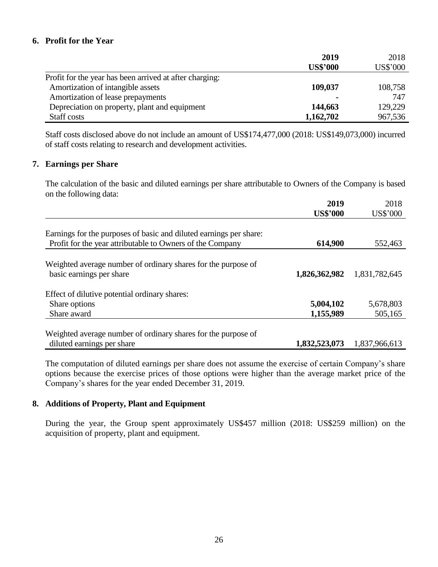### **6. Profit for the Year**

|                                                         | 2019            | 2018            |
|---------------------------------------------------------|-----------------|-----------------|
|                                                         | <b>US\$'000</b> | <b>US\$'000</b> |
| Profit for the year has been arrived at after charging: |                 |                 |
| Amortization of intangible assets                       | 109,037         | 108,758         |
| Amortization of lease prepayments                       | $\blacksquare$  | 747             |
| Depreciation on property, plant and equipment           | 144,663         | 129,229         |
| Staff costs                                             | 1,162,702       | 967,536         |

Staff costs disclosed above do not include an amount of US\$174,477,000 (2018: US\$149,073,000) incurred of staff costs relating to research and development activities.

#### **7. Earnings per Share**

The calculation of the basic and diluted earnings per share attributable to Owners of the Company is based on the following data:

|                                                                    | 2019            | 2018          |
|--------------------------------------------------------------------|-----------------|---------------|
|                                                                    | <b>US\$'000</b> | US\$'000      |
|                                                                    |                 |               |
| Earnings for the purposes of basic and diluted earnings per share: |                 |               |
| Profit for the year attributable to Owners of the Company          | 614,900         | 552,463       |
|                                                                    |                 |               |
| Weighted average number of ordinary shares for the purpose of      |                 |               |
| basic earnings per share                                           | 1,826,362,982   | 1,831,782,645 |
|                                                                    |                 |               |
| Effect of dilutive potential ordinary shares:                      |                 |               |
| Share options                                                      | 5,004,102       | 5,678,803     |
| Share award                                                        | 1,155,989       | 505,165       |
|                                                                    |                 |               |
| Weighted average number of ordinary shares for the purpose of      |                 |               |
| diluted earnings per share                                         | 1,832,523,073   | 1,837,966,613 |

The computation of diluted earnings per share does not assume the exercise of certain Company's share options because the exercise prices of those options were higher than the average market price of the Company's shares for the year ended December 31, 2019.

### **8. Additions of Property, Plant and Equipment**

During the year, the Group spent approximately US\$457 million (2018: US\$259 million) on the acquisition of property, plant and equipment.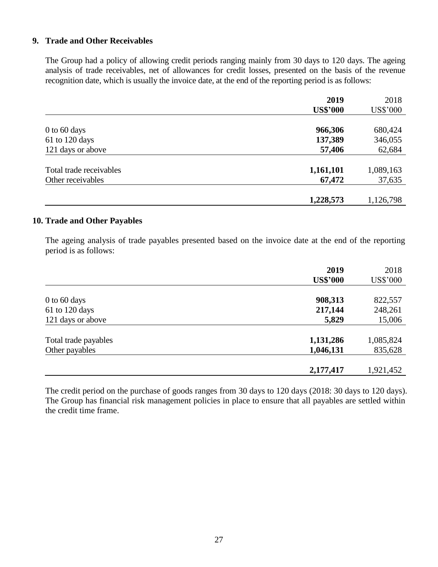### **9. Trade and Other Receivables**

The Group had a policy of allowing credit periods ranging mainly from 30 days to 120 days. The ageing analysis of trade receivables, net of allowances for credit losses, presented on the basis of the revenue recognition date, which is usually the invoice date, at the end of the reporting period is as follows:

|                         | 2019            | 2018            |
|-------------------------|-----------------|-----------------|
|                         | <b>US\$'000</b> | <b>US\$'000</b> |
|                         |                 |                 |
| $0$ to 60 days          | 966,306         | 680,424         |
| 61 to 120 days          | 137,389         | 346,055         |
| 121 days or above       | 57,406          | 62,684          |
|                         |                 |                 |
| Total trade receivables | 1,161,101       | 1,089,163       |
| Other receivables       | 67,472          | 37,635          |
|                         |                 |                 |
|                         | 1,228,573       | 1,126,798       |

### **10. Trade and Other Payables**

The ageing analysis of trade payables presented based on the invoice date at the end of the reporting period is as follows:

|                      | 2019            | 2018            |
|----------------------|-----------------|-----------------|
|                      | <b>US\$'000</b> | <b>US\$'000</b> |
|                      |                 |                 |
| $0$ to 60 days       | 908,313         | 822,557         |
| 61 to 120 days       | 217,144         | 248,261         |
| 121 days or above    | 5,829           | 15,006          |
|                      |                 |                 |
| Total trade payables | 1,131,286       | 1,085,824       |
| Other payables       | 1,046,131       | 835,628         |
|                      |                 |                 |
|                      | 2,177,417       | 1,921,452       |

The credit period on the purchase of goods ranges from 30 days to 120 days (2018: 30 days to 120 days). The Group has financial risk management policies in place to ensure that all payables are settled within the credit time frame.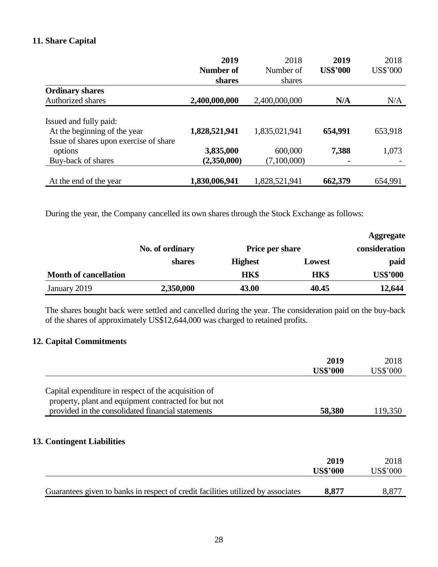### **11. Share Capital**

|                                                                        | 2019          | 2018          | 2019            | 2018     |
|------------------------------------------------------------------------|---------------|---------------|-----------------|----------|
|                                                                        | Number of     | Number of     | <b>US\$'000</b> | US\$'000 |
|                                                                        | shares        | shares        |                 |          |
| <b>Ordinary shares</b>                                                 |               |               |                 |          |
| <b>Authorized shares</b>                                               | 2,400,000,000 | 2,400,000,000 | N/A             | N/A      |
| Issued and fully paid:                                                 |               |               |                 |          |
| At the beginning of the year<br>Issue of shares upon exercise of share | 1,828,521,941 | 1,835,021,941 | 654,991         | 653,918  |
| options                                                                | 3,835,000     | 600,000       | 7,388           | 1,073    |
| Buy-back of shares                                                     | (2,350,000)   | (7,100,000)   |                 |          |
| At the end of the year                                                 | 1,830,006,941 | 1,828,521,941 | 662,379         | 654,991  |

During the year, the Company cancelled its own shares through the Stock Exchange as follows:

|                              |                 |                        |        | <b>Aggregate</b> |
|------------------------------|-----------------|------------------------|--------|------------------|
|                              | No. of ordinary | <b>Price per share</b> |        | consideration    |
|                              | shares          | <b>Highest</b>         | Lowest | paid             |
| <b>Month of cancellation</b> |                 | <b>HK\$</b>            | HK\$   | <b>US\$'000</b>  |
| January 2019                 | 2,350,000       | 43.00                  | 40.45  | 12,644           |

The shares bought back were settled and cancelled during the year. The consideration paid on the buy-back of the shares of approximately US\$12,644,000 was charged to retained profits.

### **12. Capital Commitments**

|                                                                                  | 2019<br><b>US\$'000</b> | 2018<br><b>US\$'000</b> |
|----------------------------------------------------------------------------------|-------------------------|-------------------------|
| Capital expenditure in respect of the acquisition of                             |                         |                         |
| property, plant and equipment contracted for but not                             |                         |                         |
| provided in the consolidated financial statements                                | 58,380                  | 119,350                 |
| 13. Contingent Liabilities                                                       |                         |                         |
|                                                                                  | 2019                    | 2018                    |
|                                                                                  | <b>US\$'000</b>         | <b>US\$'000</b>         |
| Guarantees given to banks in respect of credit facilities utilized by associates | 8,877                   | 8,877                   |